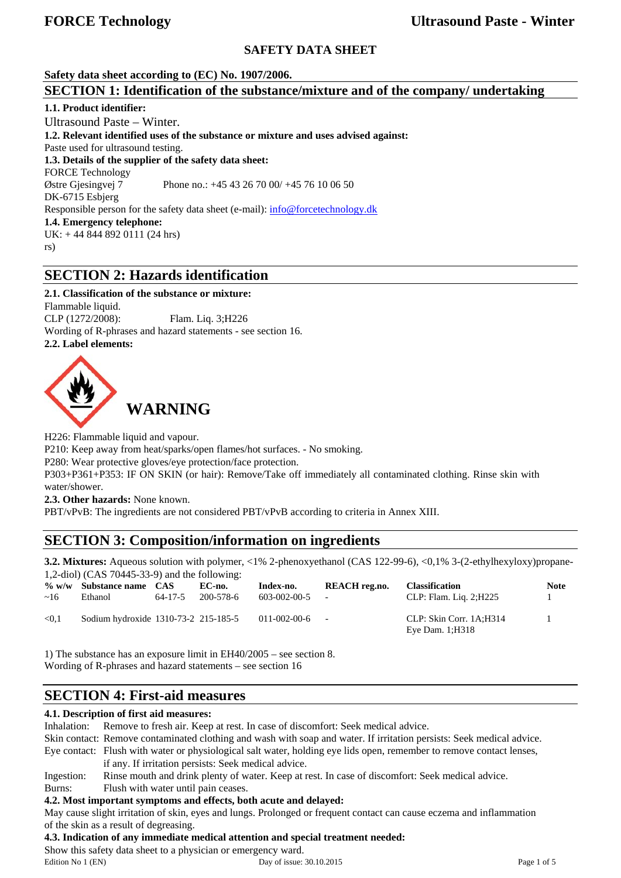# **SAFETY DATA SHEET**

# **Safety data sheet according to (EC) No. 1907/2006. SECTION 1: Identification of the substance/mixture and of the company/ undertaking**

**1.1. Product identifier:**  Ultrasound Paste – Winter. **1.2. Relevant identified uses of the substance or mixture and uses advised against:**  Paste used for ultrasound testing. **1.3. Details of the supplier of the safety data sheet:**  FORCE Technology Østre Gjesingvej 7 Phone no.: +45 43 26 70 00/ +45 76 10 06 50 DK-6715 Esbjerg Responsible person for the safety data sheet (e-mail): info@forcetechnology.dk **1.4. Emergency telephone:**  UK: + 44 844 892 0111 (24 hrs) rs)

# **SECTION 2: Hazards identification**

# **2.1. Classification of the substance or mixture:**

Flammable liquid. CLP (1272/2008): Flam. Liq. 3;H226 Wording of R-phrases and hazard statements - see section 16. **2.2. Label elements:** 



H226: Flammable liquid and vapour.

P210: Keep away from heat/sparks/open flames/hot surfaces. - No smoking.

P280: Wear protective gloves/eye protection/face protection.

P303+P361+P353: IF ON SKIN (or hair): Remove/Take off immediately all contaminated clothing. Rinse skin with water/shower.

**2.3. Other hazards:** None known.

PBT/vPvB: The ingredients are not considered PBT/vPvB according to criteria in Annex XIII.

# **SECTION 3: Composition/information on ingredients**

**3.2. Mixtures:** Aqueous solution with polymer, <1% 2-phenoxyethanol (CAS 122-99-6), <0,1% 3-(2-ethylhexyloxy)propane-1,2-diol) (CAS 70445-33-9) and the following:

| ~16   | $\%$ w/w Substance name CAS<br>Ethanol | $64 - 17 - 5$ | EC-no.<br>200-578-6 | Index-no.<br>603-002-00-5 | REACH reg.no.<br>$\overline{\phantom{a}}$ | <b>Classification</b><br>CLP: Flam. Lig. 2;H225 | <b>Note</b> |
|-------|----------------------------------------|---------------|---------------------|---------------------------|-------------------------------------------|-------------------------------------------------|-------------|
| < 0.1 | Sodium hydroxide 1310-73-2 215-185-5   |               |                     | 011-002-00-6              | $\overline{\phantom{a}}$                  | CLP: Skin Corr. 1A:H314<br>Eye Dam. 1; H318     |             |

1) The substance has an exposure limit in EH40/2005 – see section 8. Wording of R-phrases and hazard statements – see section 16

# **SECTION 4: First-aid measures**

## **4.1. Description of first aid measures:**

Inhalation: Remove to fresh air. Keep at rest. In case of discomfort: Seek medical advice.

Skin contact: Remove contaminated clothing and wash with soap and water. If irritation persists: Seek medical advice. Eye contact: Flush with water or physiological salt water, holding eye lids open, remember to remove contact lenses,

if any. If irritation persists: Seek medical advice.

Ingestion: Rinse mouth and drink plenty of water. Keep at rest. In case of discomfort: Seek medical advice.

Burns: Flush with water until pain ceases.

## **4.2. Most important symptoms and effects, both acute and delayed:**

May cause slight irritation of skin, eyes and lungs. Prolonged or frequent contact can cause eczema and inflammation of the skin as a result of degreasing.

## **4.3. Indication of any immediate medical attention and special treatment needed:**

Show this safety data sheet to a physician or emergency ward.

Edition No 1 (EN) Day of issue: 30.10.2015 Page 1 of 5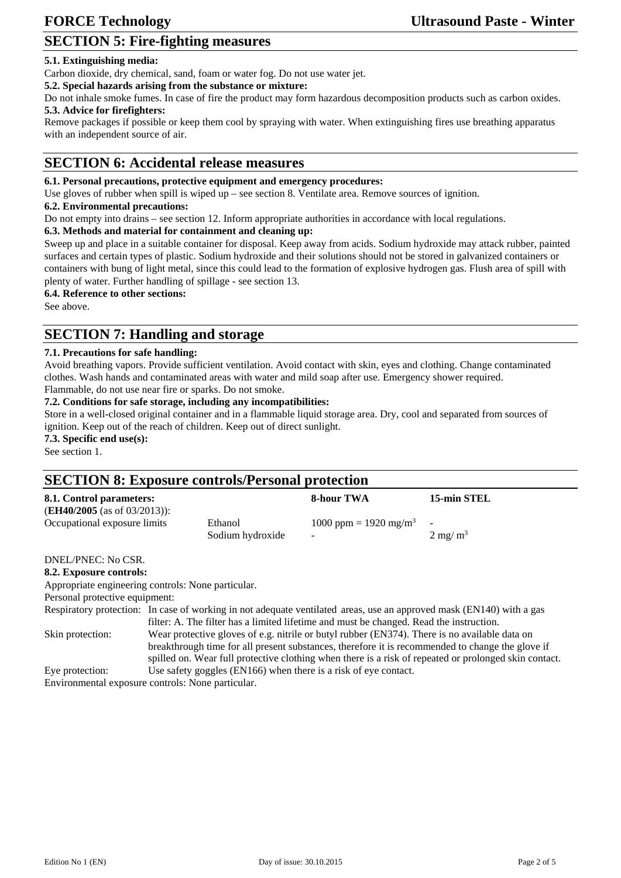# **SECTION 5: Fire-fighting measures**

## **5.1. Extinguishing media:**

Carbon dioxide, dry chemical, sand, foam or water fog. Do not use water jet.

**5.2. Special hazards arising from the substance or mixture:**

Do not inhale smoke fumes. In case of fire the product may form hazardous decomposition products such as carbon oxides. **5.3. Advice for firefighters:**

Remove packages if possible or keep them cool by spraying with water. When extinguishing fires use breathing apparatus with an independent source of air.

# **SECTION 6: Accidental release measures**

## **6.1. Personal precautions, protective equipment and emergency procedures:**

Use gloves of rubber when spill is wiped up – see section 8. Ventilate area. Remove sources of ignition.

#### **6.2. Environmental precautions:**

Do not empty into drains – see section 12. Inform appropriate authorities in accordance with local regulations.

#### **6.3. Methods and material for containment and cleaning up:**

Sweep up and place in a suitable container for disposal. Keep away from acids. Sodium hydroxide may attack rubber, painted surfaces and certain types of plastic. Sodium hydroxide and their solutions should not be stored in galvanized containers or containers with bung of light metal, since this could lead to the formation of explosive hydrogen gas. Flush area of spill with plenty of water. Further handling of spillage - see section 13.

#### **6.4. Reference to other sections:**

See above.

# **SECTION 7: Handling and storage**

#### **7.1. Precautions for safe handling:**

Avoid breathing vapors. Provide sufficient ventilation. Avoid contact with skin, eyes and clothing. Change contaminated clothes. Wash hands and contaminated areas with water and mild soap after use. Emergency shower required.

Flammable, do not use near fire or sparks. Do not smoke.

## **7.2. Conditions for safe storage, including any incompatibilities:**

Store in a well-closed original container and in a flammable liquid storage area. Dry, cool and separated from sources of ignition. Keep out of the reach of children. Keep out of direct sunlight.

**7.3. Specific end use(s):**

See section 1.

# **SECTION 8: Exposure controls/Personal protection**

|                  | 8-hour TWA                        | 15-min STEL              |
|------------------|-----------------------------------|--------------------------|
|                  |                                   |                          |
| Ethanol          | 1000 ppm = 1920 mg/m <sup>3</sup> | $\overline{\phantom{a}}$ |
| Sodium hydroxide | $\overline{\phantom{0}}$          | $2 \text{ mg/m}^3$       |
|                  |                                   |                          |

# DNEL/PNEC: No CSR.

**8.2. Exposure controls:** 

Appropriate engineering controls: None particular.

Personal protective equipment:

Respiratory protection: In case of working in not adequate ventilated areas, use an approved mask (EN140) with a gas filter: A. The filter has a limited lifetime and must be changed. Read the instruction. Skin protection: Wear protective gloves of e.g. nitrile or butyl rubber (EN374). There is no available data on breakthrough time for all present substances, therefore it is recommended to change the glove if spilled on. Wear full protective clothing when there is a risk of repeated or prolonged skin contact.

Eye protection: Use safety goggles (EN166) when there is a risk of eye contact.

Environmental exposure controls: None particular.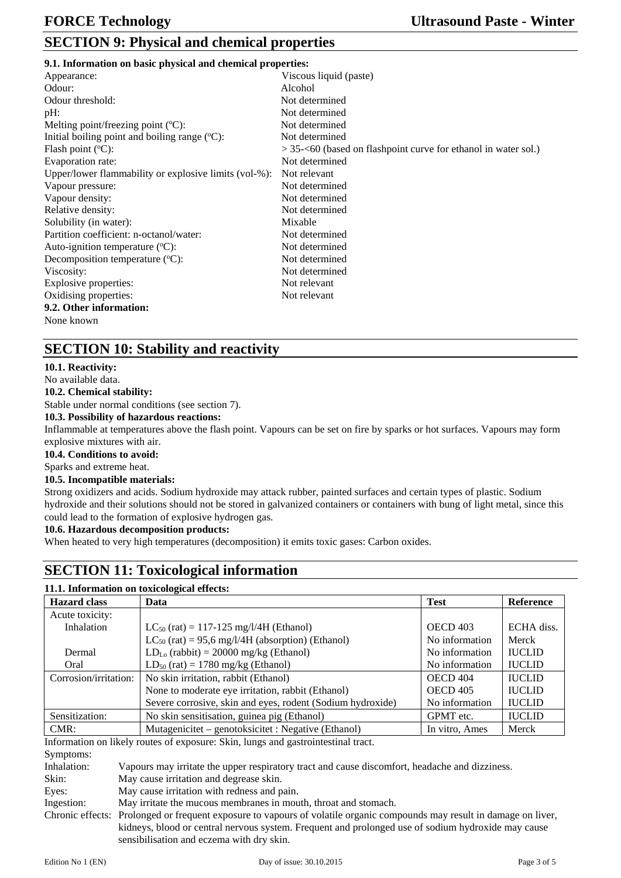| 9.1. Information on basic physical and chemical properties: |  |  |
|-------------------------------------------------------------|--|--|
|                                                             |  |  |

| Appearance:                                           | Viscous liquid (paste)                                            |
|-------------------------------------------------------|-------------------------------------------------------------------|
| Odour:                                                | Alcohol                                                           |
| Odour threshold:                                      | Not determined                                                    |
| pH:                                                   | Not determined                                                    |
| Melting point/freezing point $({}^{\circ}C)$ :        | Not determined                                                    |
| Initial boiling point and boiling range $(°C)$ :      | Not determined                                                    |
| Flash point $({}^{\circ}C)$ :                         | $> 35 - 60$ (based on flashpoint curve for ethanol in water sol.) |
| Evaporation rate:                                     | Not determined                                                    |
| Upper/lower flammability or explosive limits (vol-%): | Not relevant                                                      |
| Vapour pressure:                                      | Not determined                                                    |
| Vapour density:                                       | Not determined                                                    |
| Relative density:                                     | Not determined                                                    |
| Solubility (in water):                                | Mixable                                                           |
| Partition coefficient: n-octanol/water:               | Not determined                                                    |
| Auto-ignition temperature $({}^{\circ}C)$ :           | Not determined                                                    |
| Decomposition temperature $({}^{\circ}C)$ :           | Not determined                                                    |
| Viscosity:                                            | Not determined                                                    |
| Explosive properties:                                 | Not relevant                                                      |
| Oxidising properties:                                 | Not relevant                                                      |
| 9.2. Other information:                               |                                                                   |
| None known                                            |                                                                   |
|                                                       |                                                                   |

# **SECTION 10: Stability and reactivity**

## **10.1. Reactivity:**

No available data.

**10.2. Chemical stability:** 

Stable under normal conditions (see section 7).

## **10.3. Possibility of hazardous reactions:**

Inflammable at temperatures above the flash point. Vapours can be set on fire by sparks or hot surfaces. Vapours may form explosive mixtures with air.

**10.4. Conditions to avoid:** 

## Sparks and extreme heat.

#### **10.5. Incompatible materials:**

Strong oxidizers and acids. Sodium hydroxide may attack rubber, painted surfaces and certain types of plastic. Sodium hydroxide and their solutions should not be stored in galvanized containers or containers with bung of light metal, since this could lead to the formation of explosive hydrogen gas.

## **10.6. Hazardous decomposition products:**

When heated to very high temperatures (decomposition) it emits toxic gases: Carbon oxides.

# **SECTION 11: Toxicological information**

## **11.1. Information on toxicological effects:**

| <b>Hazard class</b>   | Data                                                       | <b>Test</b>     | Reference     |
|-----------------------|------------------------------------------------------------|-----------------|---------------|
| Acute toxicity:       |                                                            |                 |               |
| Inhalation            | $LC_{50}$ (rat) = 117-125 mg/l/4H (Ethanol)                | <b>OECD 403</b> | ECHA diss.    |
|                       | $LC_{50}$ (rat) = 95,6 mg/l/4H (absorption) (Ethanol)      | No information  | Merck         |
| Dermal                | $LD_{Lo}$ (rabbit) = 20000 mg/kg (Ethanol)                 | No information  | <b>IUCLID</b> |
| Oral                  | $LD_{50}$ (rat) = 1780 mg/kg (Ethanol)                     | No information  | <b>IUCLID</b> |
| Corrosion/irritation: | No skin irritation, rabbit (Ethanol)                       | <b>OECD 404</b> | <b>IUCLID</b> |
|                       | None to moderate eye irritation, rabbit (Ethanol)          | <b>OECD 405</b> | <b>IUCLID</b> |
|                       | Severe corrosive, skin and eyes, rodent (Sodium hydroxide) | No information  | <b>IUCLID</b> |
| Sensitization:        | No skin sensitisation, guinea pig (Ethanol)                | GPMT etc.       | <b>IUCLID</b> |
| $CMR$ :               | Mutagenicitet – genotoksicitet : Negative (Ethanol)        | In vitro, Ames  | Merck         |

Information on likely routes of exposure: Skin, lungs and gastrointestinal tract.

Symptoms:

Inhalation: Vapours may irritate the upper respiratory tract and cause discomfort, headache and dizziness.

Skin: May cause irritation and degrease skin.

Eyes: May cause irritation with redness and pain.

Ingestion: May irritate the mucous membranes in mouth, throat and stomach.

Chronic effects: Prolonged or frequent exposure to vapours of volatile organic compounds may result in damage on liver, kidneys, blood or central nervous system. Frequent and prolonged use of sodium hydroxide may cause sensibilisation and eczema with dry skin.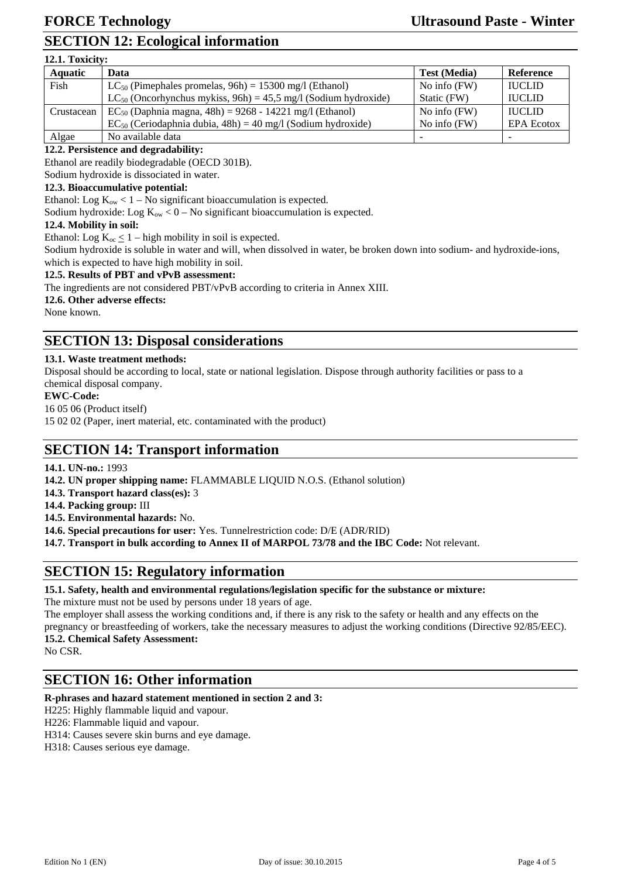# **SECTION 12: Ecological information**

| 12.1. Toxicity: |                                                                     |                     |                   |  |  |
|-----------------|---------------------------------------------------------------------|---------------------|-------------------|--|--|
| <b>Aquatic</b>  | Data                                                                | <b>Test (Media)</b> | Reference         |  |  |
| Fish            | $LC_{50}$ (Pimephales promelas, 96h) = 15300 mg/l (Ethanol)         | No info $(FW)$      | <b>IUCLID</b>     |  |  |
|                 | $LC_{50}$ (Oncorhynchus mykiss, 96h) = 45,5 mg/l (Sodium hydroxide) | Static (FW)         | <b>IUCLID</b>     |  |  |
| Crustacean      | $EC_{50}$ (Daphnia magna, 48h) = 9268 - 14221 mg/l (Ethanol)        | No info $(FW)$      | <b>IUCLID</b>     |  |  |
|                 | $EC_{50}$ (Ceriodaphnia dubia, 48h) = 40 mg/l (Sodium hydroxide)    | No info $(FW)$      | <b>EPA Ecotox</b> |  |  |
| Algae           | No available data                                                   |                     |                   |  |  |

## **12.2. Persistence and degradability:**

Ethanol are readily biodegradable (OECD 301B).

Sodium hydroxide is dissociated in water.

## **12.3. Bioaccumulative potential:**

Ethanol: Log  $K_{ow}$  < 1 – No significant bioaccumulation is expected.

Sodium hydroxide: Log  $K_{ow}$  < 0 – No significant bioaccumulation is expected.

## **12.4. Mobility in soil:**

Ethanol: Log  $K_{oc} \leq 1$  – high mobility in soil is expected.

Sodium hydroxide is soluble in water and will, when dissolved in water, be broken down into sodium- and hydroxide-ions, which is expected to have high mobility in soil.

#### **12.5. Results of PBT and vPvB assessment:**

The ingredients are not considered PBT/vPvB according to criteria in Annex XIII.

## **12.6. Other adverse effects:**

None known.

# **SECTION 13: Disposal considerations**

## **13.1. Waste treatment methods:**

Disposal should be according to local, state or national legislation. Dispose through authority facilities or pass to a chemical disposal company.

#### **EWC-Code:**

16 05 06 (Product itself)

15 02 02 (Paper, inert material, etc. contaminated with the product)

# **SECTION 14: Transport information**

**14.1. UN-no.:** 1993

**14.2. UN proper shipping name:** FLAMMABLE LIQUID N.O.S. (Ethanol solution)

**14.3. Transport hazard class(es):** 3

**14.4. Packing group:** III

**14.5. Environmental hazards:** No.

**14.6. Special precautions for user:** Yes. Tunnelrestriction code: D/E (ADR/RID)

**14.7. Transport in bulk according to Annex II of MARPOL 73/78 and the IBC Code:** Not relevant.

# **SECTION 15: Regulatory information**

#### **15.1. Safety, health and environmental regulations/legislation specific for the substance or mixture:**

The mixture must not be used by persons under 18 years of age.

The employer shall assess the working conditions and, if there is any risk to the safety or health and any effects on the pregnancy or breastfeeding of workers, take the necessary measures to adjust the working conditions (Directive 92/85/EEC). **15.2. Chemical Safety Assessment:** 

No CSR.

# **SECTION 16: Other information**

#### **R-phrases and hazard statement mentioned in section 2 and 3:**

- H225: Highly flammable liquid and vapour.
- H226: Flammable liquid and vapour.

H314: Causes severe skin burns and eye damage.

H318: Causes serious eye damage.